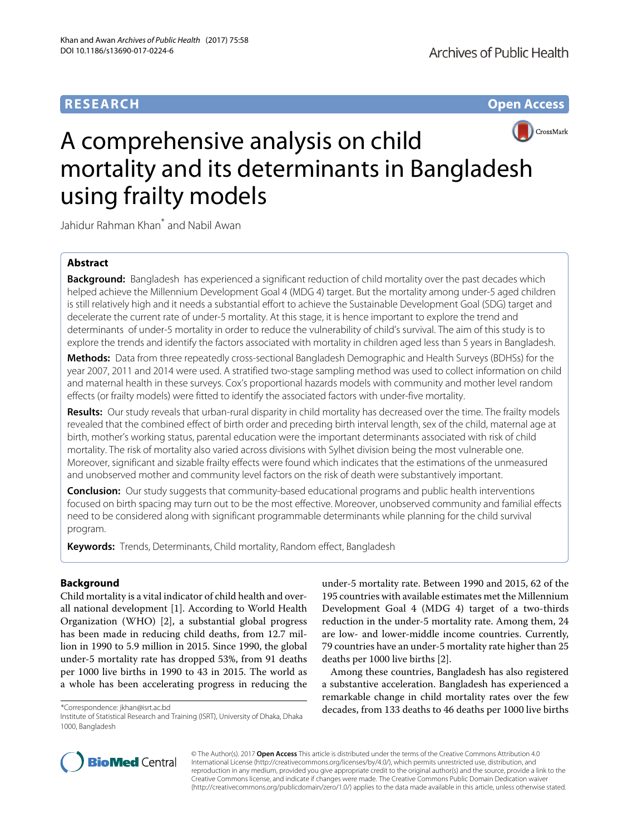# **RESEARCH Open Access**



# A comprehensive analysis on child mortality and its determinants in Bangladesh using frailty models

Jahidur Rahman Khan\* and Nabil Awan

# **Abstract**

**Background:** Bangladesh has experienced a significant reduction of child mortality over the past decades which helped achieve the Millennium Development Goal 4 (MDG 4) target. But the mortality among under-5 aged children is still relatively high and it needs a substantial effort to achieve the Sustainable Development Goal (SDG) target and decelerate the current rate of under-5 mortality. At this stage, it is hence important to explore the trend and determinants of under-5 mortality in order to reduce the vulnerability of child's survival. The aim of this study is to explore the trends and identify the factors associated with mortality in children aged less than 5 years in Bangladesh.

**Methods:** Data from three repeatedly cross-sectional Bangladesh Demographic and Health Surveys (BDHSs) for the year 2007, 2011 and 2014 were used. A stratified two-stage sampling method was used to collect information on child and maternal health in these surveys. Cox's proportional hazards models with community and mother level random effects (or frailty models) were fitted to identify the associated factors with under-five mortality.

**Results:** Our study reveals that urban-rural disparity in child mortality has decreased over the time. The frailty models revealed that the combined effect of birth order and preceding birth interval length, sex of the child, maternal age at birth, mother's working status, parental education were the important determinants associated with risk of child mortality. The risk of mortality also varied across divisions with Sylhet division being the most vulnerable one. Moreover, significant and sizable frailty effects were found which indicates that the estimations of the unmeasured and unobserved mother and community level factors on the risk of death were substantively important.

**Conclusion:** Our study suggests that community-based educational programs and public health interventions focused on birth spacing may turn out to be the most effective. Moreover, unobserved community and familial effects need to be considered along with significant programmable determinants while planning for the child survival program.

**Keywords:** Trends, Determinants, Child mortality, Random effect, Bangladesh

# **Background**

Child mortality is a vital indicator of child health and overall national development [\[1\]](#page-8-0). According to World Health Organization (WHO) [\[2\]](#page-8-1), a substantial global progress has been made in reducing child deaths, from 12.7 million in 1990 to 5.9 million in 2015. Since 1990, the global under-5 mortality rate has dropped 53%, from 91 deaths per 1000 live births in 1990 to 43 in 2015. The world as a whole has been accelerating progress in reducing the

under-5 mortality rate. Between 1990 and 2015, 62 of the 195 countries with available estimates met the Millennium Development Goal 4 (MDG 4) target of a two-thirds reduction in the under-5 mortality rate. Among them, 24 are low- and lower-middle income countries. Currently, 79 countries have an under-5 mortality rate higher than 25 deaths per 1000 live births [\[2\]](#page-8-1).

Among these countries, Bangladesh has also registered a substantive acceleration. Bangladesh has experienced a remarkable change in child mortality rates over the few decades, from 133 deaths to 46 deaths per 1000 live births



© The Author(s). 2017 **Open Access** This article is distributed under the terms of the Creative Commons Attribution 4.0 International License [\(http://creativecommons.org/licenses/by/4.0/\)](http://creativecommons.org/licenses/by/4.0/), which permits unrestricted use, distribution, and reproduction in any medium, provided you give appropriate credit to the original author(s) and the source, provide a link to the Creative Commons license, and indicate if changes were made. The Creative Commons Public Domain Dedication waiver [\(http://creativecommons.org/publicdomain/zero/1.0/\)](http://creativecommons.org/publicdomain/zero/1.0/) applies to the data made available in this article, unless otherwise stated.

<sup>\*</sup>Correspondence: [jkhan@isrt.ac.bd](mailto: jkhan@isrt.ac.bd)

Institute of Statistical Research and Training (ISRT), University of Dhaka, Dhaka 1000, Bangladesh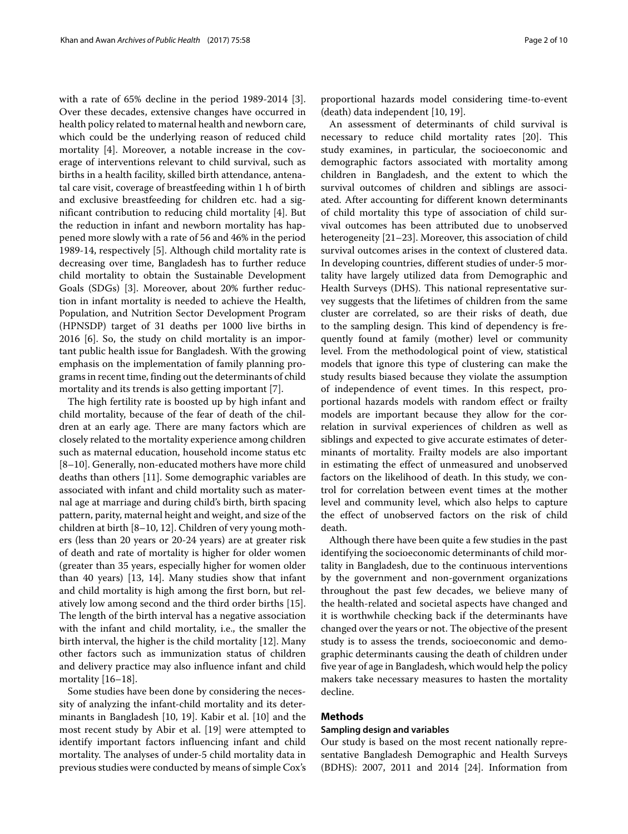with a rate of 65% decline in the period 1989-2014 [\[3\]](#page-8-2). Over these decades, extensive changes have occurred in health policy related to maternal health and newborn care, which could be the underlying reason of reduced child mortality [\[4\]](#page-8-3). Moreover, a notable increase in the coverage of interventions relevant to child survival, such as births in a health facility, skilled birth attendance, antenatal care visit, coverage of breastfeeding within 1 h of birth and exclusive breastfeeding for children etc. had a significant contribution to reducing child mortality [\[4\]](#page-8-3). But the reduction in infant and newborn mortality has happened more slowly with a rate of 56 and 46% in the period 1989-14, respectively [\[5\]](#page-8-4). Although child mortality rate is decreasing over time, Bangladesh has to further reduce child mortality to obtain the Sustainable Development Goals (SDGs) [\[3\]](#page-8-2). Moreover, about 20% further reduction in infant mortality is needed to achieve the Health, Population, and Nutrition Sector Development Program (HPNSDP) target of 31 deaths per 1000 live births in 2016 [\[6\]](#page-8-5). So, the study on child mortality is an important public health issue for Bangladesh. With the growing emphasis on the implementation of family planning programs in recent time, finding out the determinants of child mortality and its trends is also getting important [\[7\]](#page-8-6).

The high fertility rate is boosted up by high infant and child mortality, because of the fear of death of the children at an early age. There are many factors which are closely related to the mortality experience among children such as maternal education, household income status etc [\[8](#page-8-7)[–10\]](#page-8-8). Generally, non-educated mothers have more child deaths than others [\[11\]](#page-8-9). Some demographic variables are associated with infant and child mortality such as maternal age at marriage and during child's birth, birth spacing pattern, parity, maternal height and weight, and size of the children at birth [\[8](#page-8-7)[–10,](#page-8-8) [12\]](#page-8-10). Children of very young mothers (less than 20 years or 20-24 years) are at greater risk of death and rate of mortality is higher for older women (greater than 35 years, especially higher for women older than 40 years) [\[13,](#page-8-11) [14\]](#page-8-12). Many studies show that infant and child mortality is high among the first born, but relatively low among second and the third order births [\[15\]](#page-8-13). The length of the birth interval has a negative association with the infant and child mortality, i.e., the smaller the birth interval, the higher is the child mortality [\[12\]](#page-8-10). Many other factors such as immunization status of children and delivery practice may also influence infant and child mortality [\[16](#page-8-14)[–18\]](#page-8-15).

Some studies have been done by considering the necessity of analyzing the infant-child mortality and its determinants in Bangladesh [\[10,](#page-8-8) [19\]](#page-8-16). Kabir et al. [\[10\]](#page-8-8) and the most recent study by Abir et al. [\[19\]](#page-8-16) were attempted to identify important factors influencing infant and child mortality. The analyses of under-5 child mortality data in previous studies were conducted by means of simple Cox's proportional hazards model considering time-to-event (death) data independent [\[10,](#page-8-8) [19\]](#page-8-16).

An assessment of determinants of child survival is necessary to reduce child mortality rates [\[20\]](#page-8-17). This study examines, in particular, the socioeconomic and demographic factors associated with mortality among children in Bangladesh, and the extent to which the survival outcomes of children and siblings are associated. After accounting for different known determinants of child mortality this type of association of child survival outcomes has been attributed due to unobserved heterogeneity [\[21](#page-8-18)[–23\]](#page-8-19). Moreover, this association of child survival outcomes arises in the context of clustered data. In developing countries, different studies of under-5 mortality have largely utilized data from Demographic and Health Surveys (DHS). This national representative survey suggests that the lifetimes of children from the same cluster are correlated, so are their risks of death, due to the sampling design. This kind of dependency is frequently found at family (mother) level or community level. From the methodological point of view, statistical models that ignore this type of clustering can make the study results biased because they violate the assumption of independence of event times. In this respect, proportional hazards models with random effect or frailty models are important because they allow for the correlation in survival experiences of children as well as siblings and expected to give accurate estimates of determinants of mortality. Frailty models are also important in estimating the effect of unmeasured and unobserved factors on the likelihood of death. In this study, we control for correlation between event times at the mother level and community level, which also helps to capture the effect of unobserved factors on the risk of child death.

Although there have been quite a few studies in the past identifying the socioeconomic determinants of child mortality in Bangladesh, due to the continuous interventions by the government and non-government organizations throughout the past few decades, we believe many of the health-related and societal aspects have changed and it is worthwhile checking back if the determinants have changed over the years or not. The objective of the present study is to assess the trends, socioeconomic and demographic determinants causing the death of children under five year of age in Bangladesh, which would help the policy makers take necessary measures to hasten the mortality decline.

# **Methods**

## **Sampling design and variables**

Our study is based on the most recent nationally representative Bangladesh Demographic and Health Surveys (BDHS): 2007, 2011 and 2014 [\[24\]](#page-8-20). Information from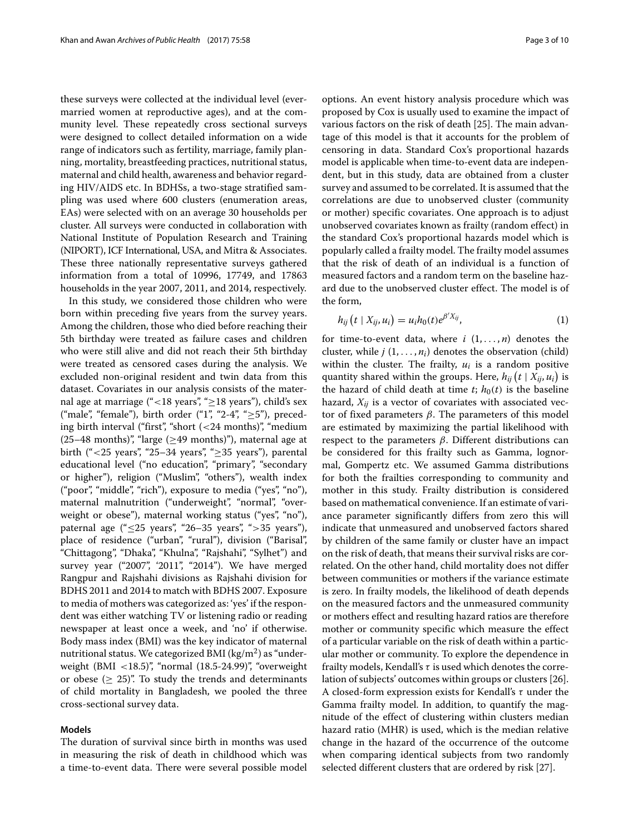these surveys were collected at the individual level (evermarried women at reproductive ages), and at the community level. These repeatedly cross sectional surveys were designed to collect detailed information on a wide range of indicators such as fertility, marriage, family planning, mortality, breastfeeding practices, nutritional status, maternal and child health, awareness and behavior regarding HIV/AIDS etc. In BDHSs, a two-stage stratified sampling was used where 600 clusters (enumeration areas, EAs) were selected with on an average 30 households per cluster. All surveys were conducted in collaboration with National Institute of Population Research and Training (NIPORT), ICF International, USA, and Mitra & Associates. These three nationally representative surveys gathered information from a total of 10996, 17749, and 17863 households in the year 2007, 2011, and 2014, respectively.

In this study, we considered those children who were born within preceding five years from the survey years. Among the children, those who died before reaching their 5th birthday were treated as failure cases and children who were still alive and did not reach their 5th birthday were treated as censored cases during the analysis. We excluded non-original resident and twin data from this dataset. Covariates in our analysis consists of the maternal age at marriage ("<18 years", "≥18 years"), child's sex ("male", "female"), birth order ("1", "2-4", " $\geq$ 5"), preceding birth interval ("first", "short (<24 months)", "medium (25–48 months)", "large ( $\geq$ 49 months)"), maternal age at birth ("<25 years", "25–34 years", " $\geq$ 35 years"), parental educational level ("no education", "primary", "secondary or higher"), religion ("Muslim", "others"), wealth index ("poor", "middle", "rich"), exposure to media ("yes", "no"), maternal malnutrition ("underweight", "normal", "overweight or obese"), maternal working status ("yes", "no"), paternal age ("≤25 years", "26-35 years", ">35 years"), place of residence ("urban", "rural"), division ("Barisal", "Chittagong", "Dhaka", "Khulna", "Rajshahi", "Sylhet") and survey year ("2007", '2011", "2014"). We have merged Rangpur and Rajshahi divisions as Rajshahi division for BDHS 2011 and 2014 to match with BDHS 2007. Exposure to media of mothers was categorized as: 'yes' if the respondent was either watching TV or listening radio or reading newspaper at least once a week, and 'no' if otherwise. Body mass index (BMI) was the key indicator of maternal nutritional status. We categorized BMI ( $\text{kg/m}^2$ ) as "underweight (BMI  $\langle 18.5 \rangle$ ", "normal (18.5-24.99)", "overweight or obese ( $\geq$  25)". To study the trends and determinants of child mortality in Bangladesh, we pooled the three cross-sectional survey data.

## **Models**

The duration of survival since birth in months was used in measuring the risk of death in childhood which was a time-to-event data. There were several possible model options. An event history analysis procedure which was proposed by Cox is usually used to examine the impact of various factors on the risk of death [\[25\]](#page-8-21). The main advantage of this model is that it accounts for the problem of censoring in data. Standard Cox's proportional hazards model is applicable when time-to-event data are independent, but in this study, data are obtained from a cluster survey and assumed to be correlated. It is assumed that the correlations are due to unobserved cluster (community or mother) specific covariates. One approach is to adjust unobserved covariates known as frailty (random effect) in the standard Cox's proportional hazards model which is popularly called a frailty model. The frailty model assumes that the risk of death of an individual is a function of measured factors and a random term on the baseline hazard due to the unobserved cluster effect. The model is of the form,

$$
h_{ij}\left(t\mid X_{ij},u_i\right)=u_ih_0(t)e^{\beta'X_{ij}},\qquad \qquad (1)
$$

for time-to-event data, where  $i$   $(1, \ldots, n)$  denotes the cluster, while  $j$   $(1, \ldots, n_i)$  denotes the observation (child) within the cluster. The frailty,  $u_i$  is a random positive quantity shared within the groups. Here,  $h_{ij}\left(t \mid X_{ij}, u_i\right)$  is the hazard of child death at time  $t$ ;  $h_0(t)$  is the baseline hazard,  $X_{ij}$  is a vector of covariates with associated vector of fixed parameters  $β$ . The parameters of this model are estimated by maximizing the partial likelihood with respect to the parameters  $β$ . Different distributions can be considered for this frailty such as Gamma, lognormal, Gompertz etc. We assumed Gamma distributions for both the frailties corresponding to community and mother in this study. Frailty distribution is considered based on mathematical convenience. If an estimate of variance parameter significantly differs from zero this will indicate that unmeasured and unobserved factors shared by children of the same family or cluster have an impact on the risk of death, that means their survival risks are correlated. On the other hand, child mortality does not differ between communities or mothers if the variance estimate is zero. In frailty models, the likelihood of death depends on the measured factors and the unmeasured community or mothers effect and resulting hazard ratios are therefore mother or community specific which measure the effect of a particular variable on the risk of death within a particular mother or community. To explore the dependence in frailty models, Kendall's  $\tau$  is used which denotes the correlation of subjects' outcomes within groups or clusters [\[26\]](#page-8-22). A closed-form expression exists for Kendall's  $\tau$  under the Gamma frailty model. In addition, to quantify the magnitude of the effect of clustering within clusters median hazard ratio (MHR) is used, which is the median relative change in the hazard of the occurrence of the outcome when comparing identical subjects from two randomly selected different clusters that are ordered by risk [\[27\]](#page-8-23).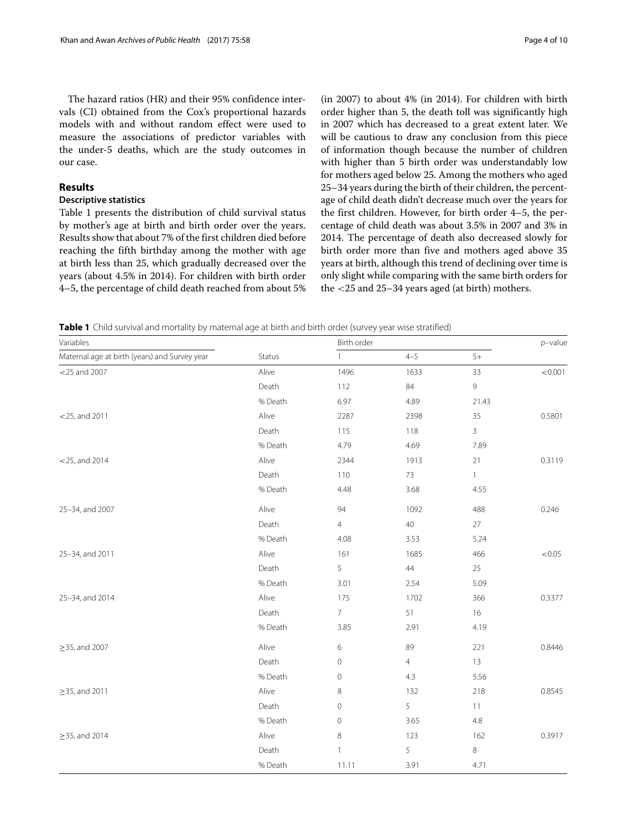The hazard ratios (HR) and their 95% confidence intervals (CI) obtained from the Cox's proportional hazards models with and without random effect were used to measure the associations of predictor variables with the under-5 deaths, which are the study outcomes in our case.

# **Results**

# **Descriptive statistics**

Table [1](#page-3-0) presents the distribution of child survival status by mother's age at birth and birth order over the years. Results show that about 7% of the first children died before reaching the fifth birthday among the mother with age at birth less than 25, which gradually decreased over the years (about 4.5% in 2014). For children with birth order 4–5, the percentage of child death reached from about 5%

(in 2007) to about 4% (in 2014). For children with birth order higher than 5, the death toll was significantly high in 2007 which has decreased to a great extent later. We will be cautious to draw any conclusion from this piece of information though because the number of children with higher than 5 birth order was understandably low for mothers aged below 25. Among the mothers who aged 25–34 years during the birth of their children, the percentage of child death didn't decrease much over the years for the first children. However, for birth order 4–5, the percentage of child death was about 3.5% in 2007 and 3% in 2014. The percentage of death also decreased slowly for birth order more than five and mothers aged above 35 years at birth, although this trend of declining over time is only slight while comparing with the same birth orders for the <25 and 25–34 years aged (at birth) mothers.

<span id="page-3-0"></span>**Table 1** Child survival and mortality by maternal age at birth and birth order (survey year wise stratified)

| Variables                                     | Status  | Birth order    |                |              | $p$ -value |
|-----------------------------------------------|---------|----------------|----------------|--------------|------------|
| Maternal age at birth (years) and Survey year |         | $\mathbf{1}$   | $4 - 5$        | $5+$         |            |
| $<$ 25 and 2007                               | Alive   | 1496           | 1633           | 33           | < 0.001    |
|                                               | Death   | 112            | 84             | 9            |            |
|                                               | % Death | 6.97           | 4.89           | 21.43        |            |
| $<$ 25, and 2011                              | Alive   | 2287           | 2398           | 35           | 0.5801     |
|                                               | Death   | 115            | 118            | $\mathbf{3}$ |            |
|                                               | % Death | 4.79           | 4.69           | 7.89         |            |
| $<$ 25, and 2014                              | Alive   | 2344           | 1913           | 21           | 0.3119     |
|                                               | Death   | 110            | 73             | $\mathbf{1}$ |            |
|                                               | % Death | 4.48           | 3.68           | 4.55         |            |
| 25-34, and 2007                               | Alive   | 94             | 1092           | 488          | 0.246      |
|                                               | Death   | $\overline{4}$ | 40             | 27           |            |
|                                               | % Death | 4.08           | 3.53           | 5.24         |            |
| 25-34, and 2011                               | Alive   | 161            | 1685           | 466          | < 0.05     |
|                                               | Death   | 5              | 44             | 25           |            |
|                                               | % Death | 3.01           | 2.54           | 5.09         |            |
| 25-34, and 2014                               | Alive   | 175            | 1702           | 366          | 0.3377     |
|                                               | Death   | $7^{\circ}$    | 51             | 16           |            |
|                                               | % Death | 3.85           | 2.91           | 4.19         |            |
| $\geq$ 35, and 2007                           | Alive   | 6              | 89             | 221          | 0.8446     |
|                                               | Death   | $\circ$        | $\overline{4}$ | 13           |            |
|                                               | % Death | $\circ$        | 4.3            | 5.56         |            |
| $\geq$ 35, and 2011                           | Alive   | 8              | 132            | 218          | 0.8545     |
|                                               | Death   | $\circ$        | 5              | 11           |            |
|                                               | % Death | $\circ$        | 3.65           | 4.8          |            |
| $\geq$ 35, and 2014                           | Alive   | 8              | 123            | 162          | 0.3917     |
|                                               | Death   | $\mathbf{1}$   | 5              | $\,8\,$      |            |
|                                               | % Death | 11.11          | 3.91           | 4.71         |            |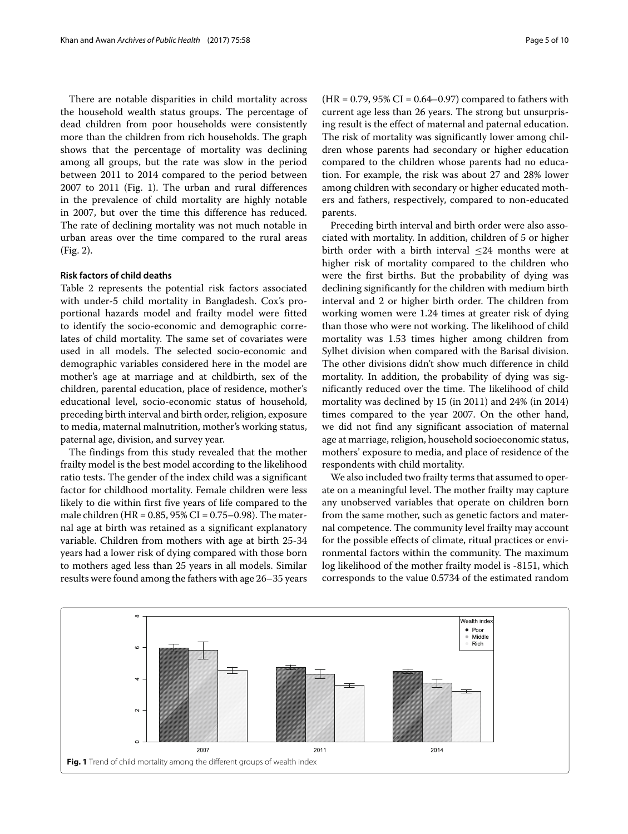There are notable disparities in child mortality across the household wealth status groups. The percentage of dead children from poor households were consistently more than the children from rich households. The graph shows that the percentage of mortality was declining among all groups, but the rate was slow in the period between 2011 to 2014 compared to the period between 2007 to 2011 (Fig. [1\)](#page-4-0). The urban and rural differences in the prevalence of child mortality are highly notable in 2007, but over the time this difference has reduced. The rate of declining mortality was not much notable in urban areas over the time compared to the rural areas (Fig. [2\)](#page-5-0).

# **Risk factors of child deaths**

Table [2](#page-6-0) represents the potential risk factors associated with under-5 child mortality in Bangladesh. Cox's proportional hazards model and frailty model were fitted to identify the socio-economic and demographic correlates of child mortality. The same set of covariates were used in all models. The selected socio-economic and demographic variables considered here in the model are mother's age at marriage and at childbirth, sex of the children, parental education, place of residence, mother's educational level, socio-economic status of household, preceding birth interval and birth order, religion, exposure to media, maternal malnutrition, mother's working status, paternal age, division, and survey year.

The findings from this study revealed that the mother frailty model is the best model according to the likelihood ratio tests. The gender of the index child was a significant factor for childhood mortality. Female children were less likely to die within first five years of life compared to the male children (HR = 0.85, 95% CI = 0.75–0.98). The maternal age at birth was retained as a significant explanatory variable. Children from mothers with age at birth 25-34 years had a lower risk of dying compared with those born to mothers aged less than 25 years in all models. Similar results were found among the fathers with age 26–35 years  $(HR = 0.79, 95\% \text{ CI} = 0.64 - 0.97)$  compared to fathers with current age less than 26 years. The strong but unsurprising result is the effect of maternal and paternal education. The risk of mortality was significantly lower among children whose parents had secondary or higher education compared to the children whose parents had no education. For example, the risk was about 27 and 28% lower among children with secondary or higher educated mothers and fathers, respectively, compared to non-educated parents.

Preceding birth interval and birth order were also associated with mortality. In addition, children of 5 or higher birth order with a birth interval  $\leq$ 24 months were at higher risk of mortality compared to the children who were the first births. But the probability of dying was declining significantly for the children with medium birth interval and 2 or higher birth order. The children from working women were 1.24 times at greater risk of dying than those who were not working. The likelihood of child mortality was 1.53 times higher among children from Sylhet division when compared with the Barisal division. The other divisions didn't show much difference in child mortality. In addition, the probability of dying was significantly reduced over the time. The likelihood of child mortality was declined by 15 (in 2011) and 24% (in 2014) times compared to the year 2007. On the other hand, we did not find any significant association of maternal age at marriage, religion, household socioeconomic status, mothers' exposure to media, and place of residence of the respondents with child mortality.

We also included two frailty terms that assumed to operate on a meaningful level. The mother frailty may capture any unobserved variables that operate on children born from the same mother, such as genetic factors and maternal competence. The community level frailty may account for the possible effects of climate, ritual practices or environmental factors within the community. The maximum log likelihood of the mother frailty model is -8151, which corresponds to the value 0.5734 of the estimated random

<span id="page-4-0"></span>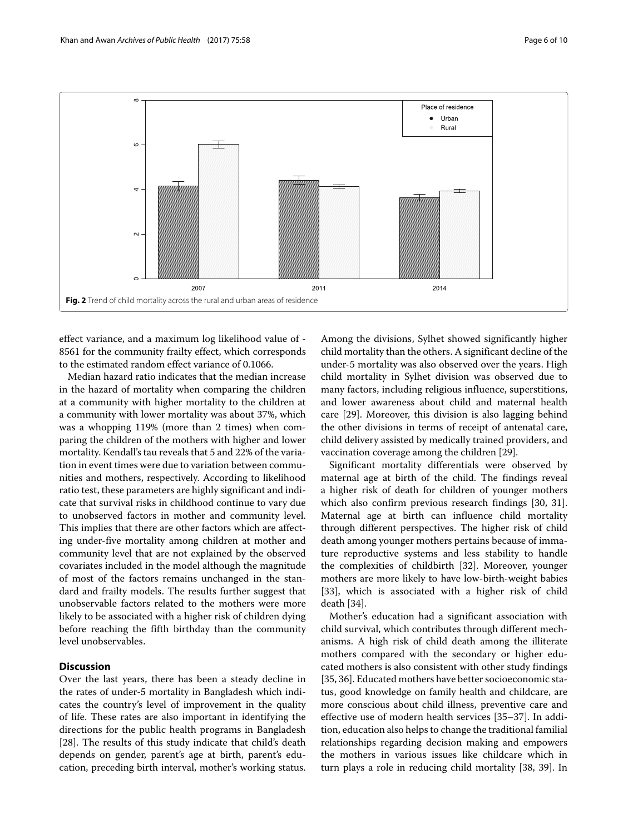

<span id="page-5-0"></span>effect variance, and a maximum log likelihood value of - 8561 for the community frailty effect, which corresponds to the estimated random effect variance of 0.1066.

Median hazard ratio indicates that the median increase in the hazard of mortality when comparing the children at a community with higher mortality to the children at a community with lower mortality was about 37%, which was a whopping 119% (more than 2 times) when comparing the children of the mothers with higher and lower mortality. Kendall's tau reveals that 5 and 22% of the variation in event times were due to variation between communities and mothers, respectively. According to likelihood ratio test, these parameters are highly significant and indicate that survival risks in childhood continue to vary due to unobserved factors in mother and community level. This implies that there are other factors which are affecting under-five mortality among children at mother and community level that are not explained by the observed covariates included in the model although the magnitude of most of the factors remains unchanged in the standard and frailty models. The results further suggest that unobservable factors related to the mothers were more likely to be associated with a higher risk of children dying before reaching the fifth birthday than the community level unobservables.

# **Discussion**

Over the last years, there has been a steady decline in the rates of under-5 mortality in Bangladesh which indicates the country's level of improvement in the quality of life. These rates are also important in identifying the directions for the public health programs in Bangladesh [\[28\]](#page-8-24). The results of this study indicate that child's death depends on gender, parent's age at birth, parent's education, preceding birth interval, mother's working status.

Among the divisions, Sylhet showed significantly higher child mortality than the others. A significant decline of the under-5 mortality was also observed over the years. High child mortality in Sylhet division was observed due to many factors, including religious influence, superstitions, and lower awareness about child and maternal health care [\[29\]](#page-8-25). Moreover, this division is also lagging behind the other divisions in terms of receipt of antenatal care, child delivery assisted by medically trained providers, and vaccination coverage among the children [\[29\]](#page-8-25).

Significant mortality differentials were observed by maternal age at birth of the child. The findings reveal a higher risk of death for children of younger mothers which also confirm previous research findings [\[30,](#page-8-26) [31\]](#page-8-27). Maternal age at birth can influence child mortality through different perspectives. The higher risk of child death among younger mothers pertains because of immature reproductive systems and less stability to handle the complexities of childbirth [\[32\]](#page-8-28). Moreover, younger mothers are more likely to have low-birth-weight babies [\[33\]](#page-8-29), which is associated with a higher risk of child death [\[34\]](#page-8-30).

Mother's education had a significant association with child survival, which contributes through different mechanisms. A high risk of child death among the illiterate mothers compared with the secondary or higher educated mothers is also consistent with other study findings [\[35,](#page-8-31) [36\]](#page-8-32). Educated mothers have better socioeconomic status, good knowledge on family health and childcare, are more conscious about child illness, preventive care and effective use of modern health services [\[35](#page-8-31)[–37\]](#page-8-33). In addition, education also helps to change the traditional familial relationships regarding decision making and empowers the mothers in various issues like childcare which in turn plays a role in reducing child mortality [\[38,](#page-8-34) [39\]](#page-8-35). In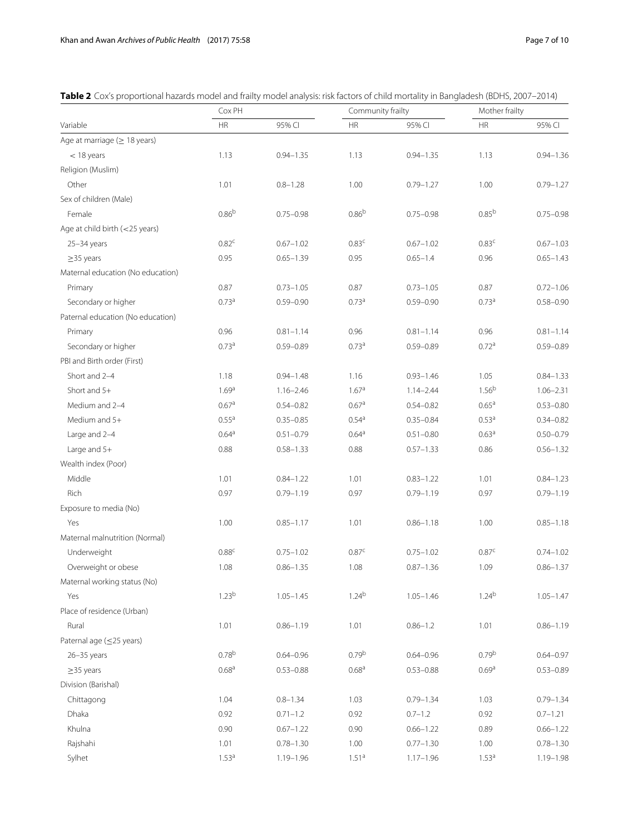<span id="page-6-0"></span>

| Variable                          | Cox PH            |               | Community frailty |               | Mother frailty    |               |
|-----------------------------------|-------------------|---------------|-------------------|---------------|-------------------|---------------|
|                                   | <b>HR</b>         | 95% CI        | <b>HR</b>         | 95% CI        | <b>HR</b>         | 95% CI        |
| Age at marriage $(\geq 18$ years) |                   |               |                   |               |                   |               |
| $<$ 18 years                      | 1.13              | $0.94 - 1.35$ | 1.13              | $0.94 - 1.35$ | 1.13              | $0.94 - 1.36$ |
| Religion (Muslim)                 |                   |               |                   |               |                   |               |
| Other                             | 1.01              | $0.8 - 1.28$  | 1.00              | $0.79 - 1.27$ | 1.00              | $0.79 - 1.27$ |
| Sex of children (Male)            |                   |               |                   |               |                   |               |
| Female                            | $0.86^{b}$        | $0.75 - 0.98$ | $0.86^{b}$        | $0.75 - 0.98$ | 0.85 <sup>b</sup> | $0.75 - 0.98$ |
| Age at child birth (<25 years)    |                   |               |                   |               |                   |               |
| $25 - 34$ years                   | 0.82 <sup>c</sup> | $0.67 - 1.02$ | 0.83 <sup>c</sup> | $0.67 - 1.02$ | 0.83 <sup>c</sup> | $0.67 - 1.03$ |
| $\geq$ 35 years                   | 0.95              | $0.65 - 1.39$ | 0.95              | $0.65 - 1.4$  | 0.96              | $0.65 - 1.43$ |
| Maternal education (No education) |                   |               |                   |               |                   |               |
| Primary                           | 0.87              | $0.73 - 1.05$ | 0.87              | $0.73 - 1.05$ | 0.87              | $0.72 - 1.06$ |
| Secondary or higher               | 0.73 <sup>a</sup> | $0.59 - 0.90$ | 0.73 <sup>a</sup> | $0.59 - 0.90$ | 0.73 <sup>a</sup> | $0.58 - 0.90$ |
| Paternal education (No education) |                   |               |                   |               |                   |               |
| Primary                           | 0.96              | $0.81 - 1.14$ | 0.96              | $0.81 - 1.14$ | 0.96              | $0.81 - 1.14$ |
| Secondary or higher               | 0.73 <sup>a</sup> | $0.59 - 0.89$ | 0.73 <sup>a</sup> | $0.59 - 0.89$ | 0.72 <sup>a</sup> | $0.59 - 0.89$ |
| PBI and Birth order (First)       |                   |               |                   |               |                   |               |
| Short and 2-4                     | 1.18              | $0.94 - 1.48$ | 1.16              | $0.93 - 1.46$ | 1.05              | $0.84 - 1.33$ |
| Short and 5+                      | 1.69a             | $1.16 - 2.46$ | 1.67a             | $1.14 - 2.44$ | 1.56 <sup>b</sup> | $1.06 - 2.31$ |
| Medium and 2-4                    | 0.67 <sup>a</sup> | $0.54 - 0.82$ | 0.67 <sup>a</sup> | $0.54 - 0.82$ | 0.65 <sup>a</sup> | $0.53 - 0.80$ |
| Medium and 5+                     | 0.55 <sup>a</sup> | $0.35 - 0.85$ | 0.54 <sup>a</sup> | $0.35 - 0.84$ | 0.53 <sup>a</sup> | $0.34 - 0.82$ |
| Large and 2-4                     | 0.64 <sup>a</sup> | $0.51 - 0.79$ | 0.64 <sup>a</sup> | $0.51 - 0.80$ | 0.63 <sup>a</sup> | $0.50 - 0.79$ |
| Large and 5+                      | 0.88              | $0.58 - 1.33$ | 0.88              | $0.57 - 1.33$ | 0.86              | $0.56 - 1.32$ |
| Wealth index (Poor)               |                   |               |                   |               |                   |               |
| Middle                            | 1.01              | $0.84 - 1.22$ | 1.01              | $0.83 - 1.22$ | 1.01              | $0.84 - 1.23$ |
| Rich                              | 0.97              | $0.79 - 1.19$ | 0.97              | $0.79 - 1.19$ | 0.97              | $0.79 - 1.19$ |
| Exposure to media (No)            |                   |               |                   |               |                   |               |
| Yes                               | 1.00              | $0.85 - 1.17$ | 1.01              | $0.86 - 1.18$ | 1.00              | $0.85 - 1.18$ |
| Maternal malnutrition (Normal)    |                   |               |                   |               |                   |               |
| Underweight                       | 0.88 <sup>c</sup> | $0.75 - 1.02$ | 0.87 <sup>c</sup> | $0.75 - 1.02$ | 0.87 <sup>c</sup> | $0.74 - 1.02$ |
| Overweight or obese               | 1.08              | $0.86 - 1.35$ | 1.08              | $0.87 - 1.36$ | 1.09              | $0.86 - 1.37$ |
| Maternal working status (No)      |                   |               |                   |               |                   |               |
| Yes                               | 1.23 <sup>b</sup> | $1.05 - 1.45$ | 1.24 <sup>b</sup> | $1.05 - 1.46$ | 1.24 <sup>b</sup> | $1.05 - 1.47$ |
| Place of residence (Urban)        |                   |               |                   |               |                   |               |
| Rural                             | 1.01              | $0.86 - 1.19$ | 1.01              | $0.86 - 1.2$  | 1.01              | $0.86 - 1.19$ |
| Paternal age (≤25 years)          |                   |               |                   |               |                   |               |
| $26 - 35$ years                   | 0.78 <sup>b</sup> | $0.64 - 0.96$ | 0.79 <sup>b</sup> | $0.64 - 0.96$ | 0.79 <sup>b</sup> | $0.64 - 0.97$ |
| $\geq$ 35 years                   | 0.68 <sup>a</sup> | $0.53 - 0.88$ | 0.68 <sup>a</sup> | $0.53 - 0.88$ | 0.69 <sup>a</sup> | $0.53 - 0.89$ |
| Division (Barishal)               |                   |               |                   |               |                   |               |
| Chittagong                        | 1.04              | $0.8 - 1.34$  | 1.03              | $0.79 - 1.34$ | 1.03              | $0.79 - 1.34$ |
| Dhaka                             | 0.92              | $0.71 - 1.2$  | 0.92              | $0.7 - 1.2$   | 0.92              | $0.7 - 1.21$  |
| Khulna                            | 0.90              | $0.67 - 1.22$ | 0.90              | $0.66 - 1.22$ | 0.89              | $0.66 - 1.22$ |
| Rajshahi                          | 1.01              | $0.78 - 1.30$ | 1.00              | $0.77 - 1.30$ | 1.00              | $0.78 - 1.30$ |
| Sylhet                            | 1.53 <sup>a</sup> | $1.19 - 1.96$ | 1.51 <sup>a</sup> | $1.17 - 1.96$ | 1.53 <sup>a</sup> | $1.19 - 1.98$ |

**Table 2** Cox's proportional hazards model and frailty model analysis: risk factors of child mortality in Bangladesh (BDHS, 2007–2014)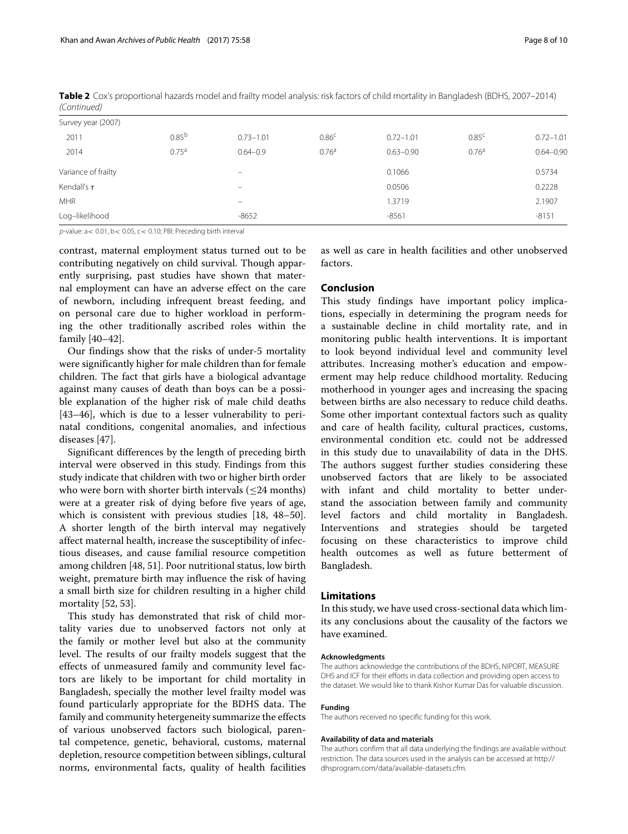| $1$ CUITUITUCU      |                   |                   |                   |               |                   |               |
|---------------------|-------------------|-------------------|-------------------|---------------|-------------------|---------------|
| Survey year (2007)  |                   |                   |                   |               |                   |               |
| 2011                | $0.85^{b}$        | $0.73 - 1.01$     | 0.86 <sup>c</sup> | $0.72 - 1.01$ | 0.85 <sup>c</sup> | $0.72 - 1.01$ |
| 2014                | 0.75 <sup>a</sup> | $0.64 - 0.9$      | 0.76 <sup>a</sup> | $0.63 - 0.90$ | 0.76 <sup>a</sup> | $0.64 - 0.90$ |
| Variance of frailty |                   | -                 |                   | 0.1066        |                   | 0.5734        |
| Kendall's $\tau$    |                   | $\qquad \qquad -$ |                   | 0.0506        |                   | 0.2228        |
| <b>MHR</b>          |                   | $\qquad \qquad -$ |                   | 1.3719        |                   | 2.1907        |
| Log-likelihood      |                   | $-8652$           |                   | $-8561$       |                   | $-8151$       |
|                     |                   |                   |                   |               |                   |               |

**Table 2** Cox's proportional hazards model and frailty model analysis: risk factors of child mortality in Bangladesh (BDHS, 2007–2014) (Continued)

 $p$ -value:  $a < 0.01$ ,  $b < 0.05$ ,  $c < 0.10$ ; PBI: Preceding birth interval

contrast, maternal employment status turned out to be contributing negatively on child survival. Though apparently surprising, past studies have shown that maternal employment can have an adverse effect on the care of newborn, including infrequent breast feeding, and on personal care due to higher workload in performing the other traditionally ascribed roles within the family [\[40–](#page-8-36)[42\]](#page-8-37).

Our findings show that the risks of under-5 mortality were significantly higher for male children than for female children. The fact that girls have a biological advantage against many causes of death than boys can be a possible explanation of the higher risk of male child deaths [\[43](#page-9-0)[–46\]](#page-9-1), which is due to a lesser vulnerability to perinatal conditions, congenital anomalies, and infectious diseases [\[47\]](#page-9-2).

Significant differences by the length of preceding birth interval were observed in this study. Findings from this study indicate that children with two or higher birth order who were born with shorter birth intervals  $(\leq 24$  months) were at a greater risk of dying before five years of age, which is consistent with previous studies [\[18,](#page-8-15) [48–](#page-9-3)[50\]](#page-9-4). A shorter length of the birth interval may negatively affect maternal health, increase the susceptibility of infectious diseases, and cause familial resource competition among children [\[48,](#page-9-3) [51\]](#page-9-5). Poor nutritional status, low birth weight, premature birth may influence the risk of having a small birth size for children resulting in a higher child mortality [\[52,](#page-9-6) [53\]](#page-9-7).

This study has demonstrated that risk of child mortality varies due to unobserved factors not only at the family or mother level but also at the community level. The results of our frailty models suggest that the effects of unmeasured family and community level factors are likely to be important for child mortality in Bangladesh, specially the mother level frailty model was found particularly appropriate for the BDHS data. The family and community hetergeneity summarize the effects of various unobserved factors such biological, parental competence, genetic, behavioral, customs, maternal depletion, resource competition between siblings, cultural norms, environmental facts, quality of health facilities

as well as care in health facilities and other unobserved factors.

# **Conclusion**

This study findings have important policy implications, especially in determining the program needs for a sustainable decline in child mortality rate, and in monitoring public health interventions. It is important to look beyond individual level and community level attributes. Increasing mother's education and empowerment may help reduce childhood mortality. Reducing motherhood in younger ages and increasing the spacing between births are also necessary to reduce child deaths. Some other important contextual factors such as quality and care of health facility, cultural practices, customs, environmental condition etc. could not be addressed in this study due to unavailability of data in the DHS. The authors suggest further studies considering these unobserved factors that are likely to be associated with infant and child mortality to better understand the association between family and community level factors and child mortality in Bangladesh. Interventions and strategies should be targeted focusing on these characteristics to improve child health outcomes as well as future betterment of Bangladesh.

# **Limitations**

In this study, we have used cross-sectional data which limits any conclusions about the causality of the factors we have examined.

#### **Acknowledgments**

The authors acknowledge the contributions of the BDHS, NIPORT, MEASURE DHS and ICF for their efforts in data collection and providing open access to the dataset. We would like to thank Kishor Kumar Das for valuable discussion.

#### **Funding**

The authors received no specific funding for this work.

#### **Availability of data and materials**

The authors confirm that all data underlying the findings are available without restriction. The data sources used in the analysis can be accessed at [http://](http://dhsprogram.com/data/available-datasets.cfm) [dhsprogram.com/data/available-datasets.cfm.](http://dhsprogram.com/data/available-datasets.cfm)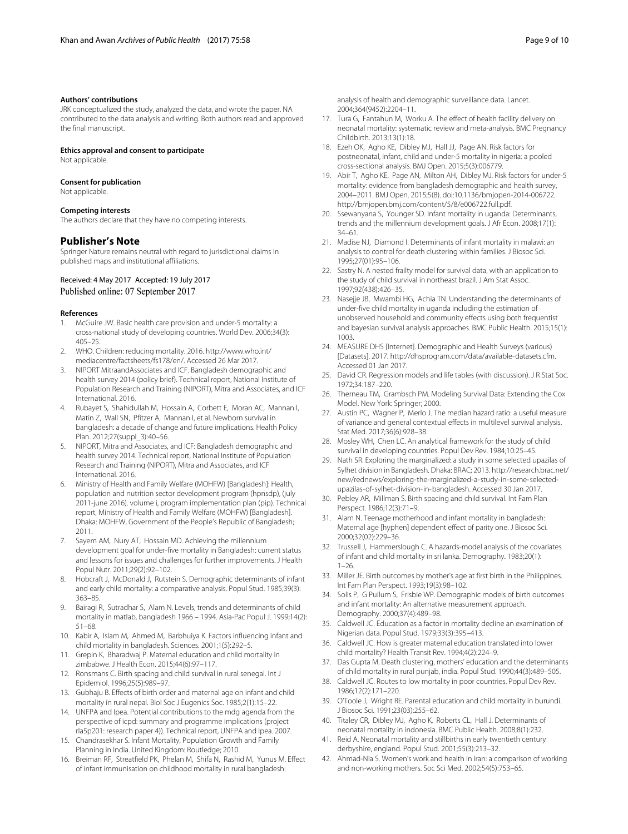#### **Authors' contributions**

JRK conceptualized the study, analyzed the data, and wrote the paper. NA contributed to the data analysis and writing. Both authors read and approved the final manuscript.

#### **Ethics approval and consent to participate**

Not applicable.

### **Consent for publication**

Not applicable.

#### **Competing interests**

The authors declare that they have no competing interests.

## **Publisher's Note**

Springer Nature remains neutral with regard to jurisdictional claims in published maps and institutional affiliations.

## Received: 4 May 2017 Accepted: 19 July 2017 Published online: 07 September 2017

#### **References**

- <span id="page-8-0"></span>1. McGuire JW. Basic health care provision and under-5 mortality: a cross-national study of developing countries. World Dev. 2006;34(3): 405–25.
- <span id="page-8-1"></span>2. WHO. Children: reducing mortality. 2016. [http://www.who.int/](http://www.who.int/mediacentre/factsheets/fs178/en/) [mediacentre/factsheets/fs178/en/.](http://www.who.int/mediacentre/factsheets/fs178/en/) Accessed 26 Mar 2017.
- <span id="page-8-2"></span>3. NIPORT MitraandAssociates and ICF. Bangladesh demographic and health survey 2014 (policy brief). Technical report, National Institute of Population Research and Training (NIPORT), Mitra and Associates, and ICF International. 2016.
- <span id="page-8-3"></span>Rubayet S, Shahidullah M, Hossain A, Corbett E, Moran AC, Mannan I, Matin Z, Wall SN, Pfitzer A, Mannan I, et al. Newborn survival in bangladesh: a decade of change and future implications. Health Policy Plan. 2012;27(suppl\_3):40–56.
- <span id="page-8-4"></span>5. NIPORT, Mitra and Associates, and ICF: Bangladesh demographic and health survey 2014. Technical report, National Institute of Population Research and Training (NIPORT), Mitra and Associates, and ICF International. 2016.
- <span id="page-8-5"></span>6. Ministry of Health and Family Welfare (MOHFW) [Bangladesh]: Health, population and nutrition sector development program (hpnsdp), (july 2011-june 2016). volume i, program implementation plan (pip). Technical report, Ministry of Health and Family Welfare (MOHFW) [Bangladesh]. Dhaka: MOHFW, Government of the People's Republic of Bangladesh; 2011.
- <span id="page-8-6"></span>7. Sayem AM, Nury AT, Hossain MD. Achieving the millennium development goal for under-five mortality in Bangladesh: current status and lessons for issues and challenges for further improvements. J Health Popul Nutr. 2011;29(2):92–102.
- <span id="page-8-7"></span>8. Hobcraft J, McDonald J, Rutstein S. Demographic determinants of infant and early child mortality: a comparative analysis. Popul Stud. 1985;39(3): 363–85.
- 9. Bairagi R, Sutradhar S, Alam N. Levels, trends and determinants of child mortality in matlab, bangladesh 1966 – 1994. Asia-Pac Popul J. 1999;14(2): 51–68.
- <span id="page-8-8"></span>10. Kabir A, Islam M, Ahmed M, Barbhuiya K. Factors influencing infant and child mortality in bangladesh. Sciences. 2001;1(5):292–5.
- <span id="page-8-9"></span>11. Grepin K, Bharadwaj P. Maternal education and child mortality in zimbabwe. J Health Econ. 2015;44(6):97–117.
- <span id="page-8-10"></span>12. Ronsmans C. Birth spacing and child survival in rural senegal. Int J Epidemiol. 1996;25(5):989–97.
- <span id="page-8-11"></span>13. Gubhaju B. Effects of birth order and maternal age on infant and child mortality in rural nepal. Biol Soc J Eugenics Soc. 1985;2(1):15–22.
- <span id="page-8-12"></span>14. UNFPA and Ipea. Potential contributions to the mdg agenda from the perspective of icpd: summary and programme implications (project rla5p201: research paper 4)). Technical report, UNFPA and Ipea. 2007.
- <span id="page-8-13"></span>15. Chandrasekhar S. Infant Mortality, Population Growth and Family Planning in India. United Kingdom: Routledge; 2010.
- <span id="page-8-14"></span>16. Breiman RF, Streatfield PK, Phelan M, Shifa N, Rashid M, Yunus M. Effect of infant immunisation on childhood mortality in rural bangladesh:

analysis of health and demographic surveillance data. Lancet. 2004;364(9452):2204–11.

- 17. Tura G, Fantahun M, Worku A. The effect of health facility delivery on neonatal mortality: systematic review and meta-analysis. BMC Pregnancy Childbirth. 2013;13(1):18.
- <span id="page-8-15"></span>18. Ezeh OK, Agho KE, Dibley MJ, Hall JJ, Page AN. Risk factors for postneonatal, infant, child and under-5 mortality in nigeria: a pooled cross-sectional analysis. BMJ Open. 2015;5(3):006779.
- <span id="page-8-16"></span>19. Abir T, Agho KE, Page AN, Milton AH, Dibley MJ. Risk factors for under-5 mortality: evidence from bangladesh demographic and health survey, 2004–2011. BMJ Open. 2015;5(8). doi[:10.1136/bmjopen-2014-006722.](http://dx.doi.org/10.1136/bmjopen-2014-006722) [http://bmjopen.bmj.com/content/5/8/e006722.full.pdf.](http://bmjopen.bmj.com/content/5/8/e006722.full.pdf)
- <span id="page-8-17"></span>20. Ssewanyana S, Younger SD. Infant mortality in uganda: Determinants, trends and the millennium development goals. J Afr Econ. 2008;17(1): 34–61.
- <span id="page-8-18"></span>21. Madise NJ, Diamond I. Determinants of infant mortality in malawi: an analysis to control for death clustering within families. J Biosoc Sci. 1995;27(01):95–106.
- 22. Sastry N. A nested frailty model for survival data, with an application to the study of child survival in northeast brazil. J Am Stat Assoc. 1997;92(438):426–35.
- <span id="page-8-19"></span>23. Nasejje JB, Mwambi HG, Achia TN. Understanding the determinants of under-five child mortality in uganda including the estimation of unobserved household and community effects using both frequentist and bayesian survival analysis approaches. BMC Public Health. 2015;15(1): 1003.
- <span id="page-8-20"></span>24. MEASURE DHS [Internet]. Demographic and Health Surveys (various) [Datasets]. 2017. [http://dhsprogram.com/data/available-datasets.cfm.](http://dhsprogram.com/data/available-datasets.cfm) Accessed 01 Jan 2017.
- <span id="page-8-21"></span>25. David CR. Regression models and life tables (with discussion). J R Stat Soc. 1972;34:187–220.
- <span id="page-8-22"></span>26. Therneau TM, Grambsch PM. Modeling Survival Data: Extending the Cox Model. New York: Springer; 2000.
- <span id="page-8-23"></span>27. Austin PC, Wagner P, Merlo J. The median hazard ratio: a useful measure of variance and general contextual effects in multilevel survival analysis. Stat Med. 2017;36(6):928–38.
- <span id="page-8-24"></span>28. Mosley WH, Chen LC. An analytical framework for the study of child survival in developing countries. Popul Dev Rev. 1984;10:25–45.
- <span id="page-8-25"></span>29. Nath SR. Exploring the marginalized: a study in some selected upazilas of Sylhet division in Bangladesh. Dhaka: BRAC; 2013. [http://research.brac.net/](http://research.brac.net/new/rednews/exploring-the-marginalized-a-study-in-some-selected-upazilas-of-sylhet-division-in-bangladesh) [new/rednews/exploring-the-marginalized-a-study-in-some-selected](http://research.brac.net/new/rednews/exploring-the-marginalized-a-study-in-some-selected-upazilas-of-sylhet-division-in-bangladesh)[upazilas-of-sylhet-division-in-bangladesh.](http://research.brac.net/new/rednews/exploring-the-marginalized-a-study-in-some-selected-upazilas-of-sylhet-division-in-bangladesh) Accessed 30 Jan 2017.
- <span id="page-8-26"></span>30. Pebley AR, Millman S. Birth spacing and child survival. Int Fam Plan Perspect. 1986;12(3):71–9.
- <span id="page-8-27"></span>31. Alam N. Teenage motherhood and infant mortality in bangladesh: Maternal age [hyphen] dependent effect of parity one. J Biosoc Sci. 2000;32(02):229–36.
- <span id="page-8-28"></span>32. Trussell J, Hammerslough C. A hazards-model analysis of the covariates of infant and child mortality in sri lanka. Demography. 1983;20(1): 1–26.
- <span id="page-8-29"></span>33. Miller JE. Birth outcomes by mother's age at first birth in the Philippines. Int Fam Plan Perspect. 1993;19(3):98–102.
- <span id="page-8-30"></span>34. Solis P, G Pullum S, Frisbie WP. Demographic models of birth outcomes and infant mortality: An alternative measurement approach. Demography. 2000;37(4):489–98.
- <span id="page-8-31"></span>35. Caldwell JC. Education as a factor in mortality decline an examination of Nigerian data. Popul Stud. 1979;33(3):395–413.
- <span id="page-8-32"></span>36. Caldwell JC. How is greater maternal education translated into lower child mortality? Health Transit Rev. 1994;4(2):224–9.
- <span id="page-8-33"></span>37. Das Gupta M. Death clustering, mothers' education and the determinants of child mortality in rural punjab, india. Popul Stud. 1990;44(3):489–505.
- <span id="page-8-34"></span>38. Caldwell JC. Routes to low mortality in poor countries. Popul Dev Rev. 1986;12(2):171–220.
- <span id="page-8-35"></span>39. O'Toole J, Wright RE. Parental education and child mortality in burundi. J Biosoc Sci. 1991;23(03):255–62.
- <span id="page-8-36"></span>40. Titaley CR, Dibley MJ, Agho K, Roberts CL, Hall J. Determinants of neonatal mortality in indonesia. BMC Public Health. 2008;8(1):232.
- 41. Reid A. Neonatal mortality and stillbirths in early twentieth century derbyshire, england. Popul Stud. 2001;55(3):213–32.
- <span id="page-8-37"></span>42. Ahmad-Nia S. Women's work and health in iran: a comparison of working and non-working mothers. Soc Sci Med. 2002;54(5):753–65.